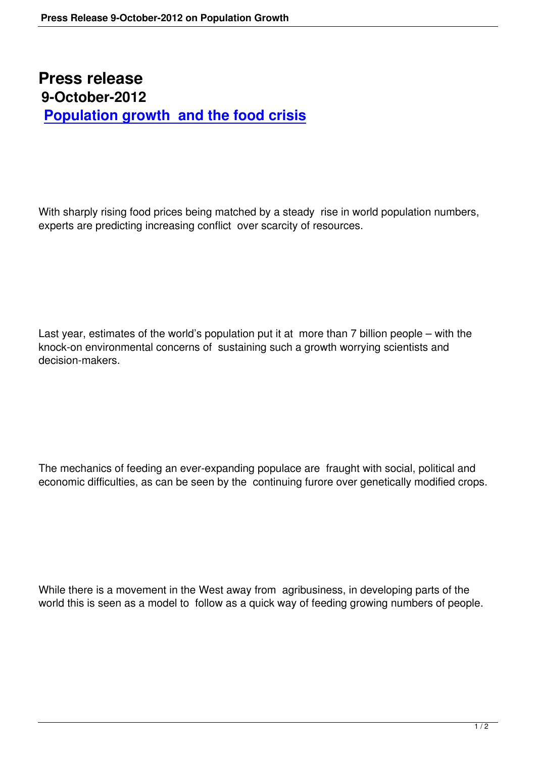## **Press release 9-October-2012 Population growth and the food crisis**

With sharply rising food prices being matched by a steady rise in world population numbers, experts are predicting increasing conflict over scarcity of resources.

Last year, estimates of the world's population put it at more than 7 billion people – with the knock-on environmental concerns of sustaining such a growth worrying scientists and decision-makers.

The mechanics of feeding an ever-expanding populace are fraught with social, political and economic difficulties, as can be seen by the continuing furore over genetically modified crops.

While there is a movement in the West away from agribusiness, in developing parts of the world this is seen as a model to follow as a quick way of feeding growing numbers of people.